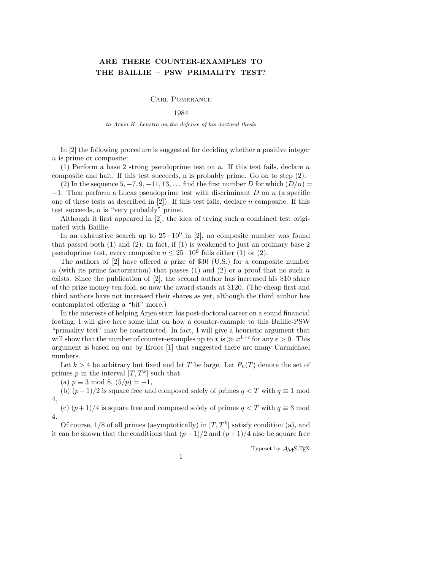# ARE THERE COUNTER-EXAMPLES TO THE BAILLIE – PSW PRIMALITY TEST?

## Carl Pomerance

### 1984

#### to Arjen K. Lenstra on the defense of his doctoral thesis

In [2] the following procedure is suggested for deciding whether a positive integer n is prime or composite:

(1) Perform a base 2 strong pseudoprime test on n. If this test fails, declare n composite and halt. If this test succeeds, n is probably prime. Go on to step (2).

(2) In the sequence  $5, -7, 9, -11, 13, \ldots$  find the first number D for which  $(D/n)$  $-1$ . Then perform a Lucas pseudoprime test with discriminant D on n (a specific one of these tests as described in  $[2]$ ). If this test fails, declare n composite. If this test succeeds,  $n$  is "very probably" prime.

Although it first appeared in [2], the idea of trying such a combined test originated with Baillie.

In an exhaustive search up to  $25 \cdot 10^9$  in [2], no composite number was found that passed both (1) and (2). In fact, if (1) is weakened to just an ordinary base 2 pseudoprime test, every composite  $n \leq 25 \cdot 10^9$  fails either (1) or (2).

The authors of [2] have offered a prize of \$30 (U.S.) for a composite number  $n$  (with its prime factorization) that passes (1) and (2) or a proof that no such n exists. Since the publication of [2], the second author has increased his \$10 share of the prize money ten-fold, so now the award stands at \$120. (The cheap first and third authors have not increased their shares as yet, although the third author has contemplated offering a "bit" more.)

In the interests of helping Arjen start his post-doctoral career on a sound financial footing, I will give here some hint on how a counter-example to this Baillie-PSW "primality test" may be constructed. In fact, I will give a heuristic argument that will show that the number of counter-examples up to  $\overline{x}$  is  $\gg x^{1-\epsilon}$  for any  $\epsilon > 0$ . This argument is based on one by Erdos [1] that suggested there are many Carmichael numbers.

Let  $k > 4$  be arbitrary but fixed and let T be large. Let  $P_k(T)$  denote the set of primes p in the interval  $[T, T^k]$  such that

(a)  $p \equiv 3 \mod 8$ ,  $(5/p) = -1$ ,

(b)  $(p-1)/2$  is square free and composed solely of primes  $q < T$  with  $q \equiv 1 \text{ mod } 2$ 4,

(c)  $(p+1)/4$  is square free and composed solely of primes  $q < T$  with  $q \equiv 3 \text{ mod } 3$ 4.

Of course,  $1/8$  of all primes (asymptotically) in  $[T, T^k]$  satisfy condition (a), and it can be shown that the conditions that  $(p-1)/2$  and  $(p+1)/4$  also be square free

Typeset by  $\mathcal{A}\mathcal{M}$ S-TFX

1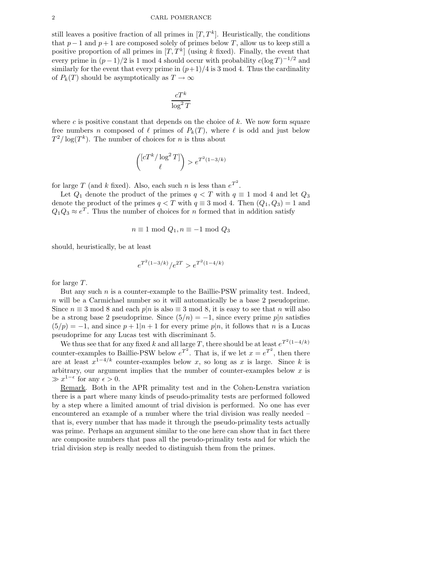still leaves a positive fraction of all primes in  $[T, T^k]$ . Heuristically, the conditions that  $p-1$  and  $p+1$  are composed solely of primes below T, allow us to keep still a positive proportion of all primes in  $[T, T^k]$  (using k fixed). Finally, the event that every prime in  $(p-1)/2$  is 1 mod 4 should occur with probability  $c(\log T)^{-1/2}$  and similarly for the event that every prime in  $(p+1)/4$  is 3 mod 4. Thus the cardinality of  $P_k(T)$  should be asymptotically as  $T \to \infty$ 

$$
\frac{cT^k}{\log^2 T}
$$

where  $c$  is positive constant that depends on the choice of  $k$ . We now form square free numbers n composed of  $\ell$  primes of  $P_k(T)$ , where  $\ell$  is odd and just below  $T^2/\log(T^k)$ . The number of choices for *n* is thus about

$$
\binom{[cT^k/\log^2 T]}{\ell} > e^{T^2(1-3/k)}
$$

for large T (and k fixed). Also, each such n is less than  $e^{T^2}$ .

Let  $Q_1$  denote the product of the primes  $q < T$  with  $q \equiv 1 \mod 4$  and let  $Q_3$ denote the product of the primes  $q < T$  with  $q \equiv 3 \mod 4$ . Then  $(Q_1, Q_3) = 1$  and  $Q_1Q_3 \approx e^T$ . Thus the number of choices for n formed that in addition satisfy

$$
n \equiv 1 \mod Q_1, n \equiv -1 \mod Q_3
$$

should, heuristically, be at least

$$
e^{T^2(1-3/k)}/e^{2T} > e^{T^2(1-4/k)}
$$

for large T.

But any such  $n$  is a counter-example to the Baillie-PSW primality test. Indeed, n will be a Carmichael number so it will automatically be a base 2 pseudoprime. Since  $n \equiv 3 \mod 8$  and each  $p|n$  is also  $\equiv 3 \mod 8$ , it is easy to see that n will also be a strong base 2 pseudoprime. Since  $(5/n) = -1$ , since every prime p|n satisfies  $(5/p) = -1$ , and since  $p + 1|n + 1$  for every prime  $p|n$ , it follows that n is a Lucas pseudoprime for any Lucas test with discriminant 5.

We thus see that for any fixed k and all large T, there should be at least  $e^{T^2(1-4/k)}$ counter-examples to Baillie-PSW below  $e^{T^2}$ . That is, if we let  $x = e^{T^2}$ , then there are at least  $x^{1-4/k}$  counter-examples below x, so long as x is large. Since k is arbitrary, our argument implies that the number of counter-examples below  $x$  is  $\gg x^{1-\epsilon}$  for any  $\epsilon > 0$ .

Remark. Both in the APR primality test and in the Cohen-Lenstra variation there is a part where many kinds of pseudo-primality tests are performed followed by a step where a limited amount of trial division is performed. No one has ever encountered an example of a number where the trial division was really needed – that is, every number that has made it through the pseudo-primality tests actually was prime. Perhaps an argument similar to the one here can show that in fact there are composite numbers that pass all the pseudo-primality tests and for which the trial division step is really needed to distinguish them from the primes.